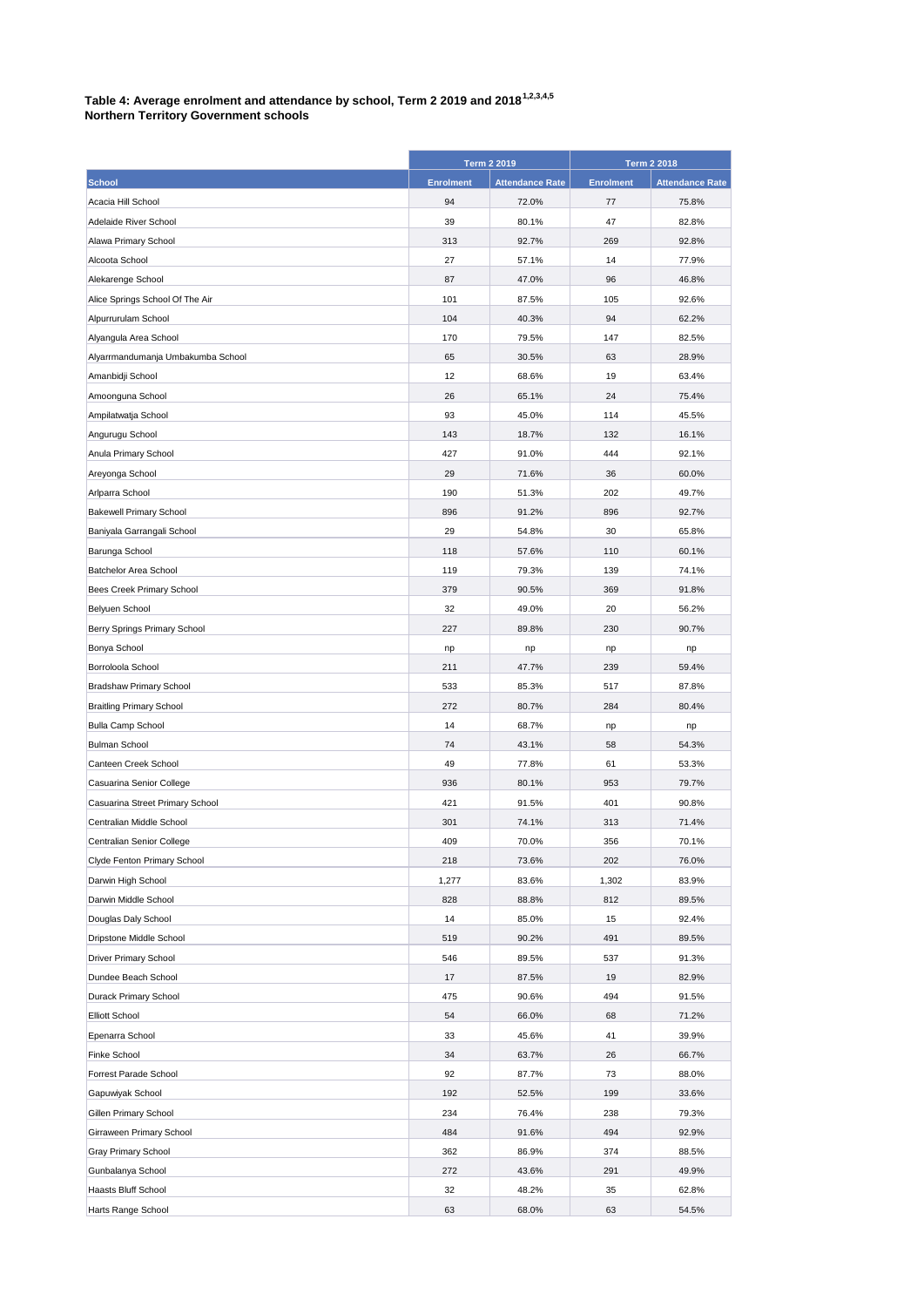## **Table 4: Average enrolment and attendance by school, Term 2 2019 and 20181,2,3,4,5**

| <b>Northern Territory Government schools</b> |  |
|----------------------------------------------|--|
|----------------------------------------------|--|

|                                   | <b>Term 2 2019</b> |                        | <b>Term 2 2018</b> |                        |
|-----------------------------------|--------------------|------------------------|--------------------|------------------------|
| <b>School</b>                     | <b>Enrolment</b>   | <b>Attendance Rate</b> | <b>Enrolment</b>   | <b>Attendance Rate</b> |
| Acacia Hill School                | 94                 | 72.0%                  | 77                 | 75.8%                  |
| Adelaide River School             | 39                 | 80.1%                  | 47                 | 82.8%                  |
| Alawa Primary School              | 313                | 92.7%                  | 269                | 92.8%                  |
| Alcoota School                    | 27                 | 57.1%                  | 14                 | 77.9%                  |
| Alekarenge School                 | 87                 | 47.0%                  | 96                 | 46.8%                  |
| Alice Springs School Of The Air   | 101                | 87.5%                  | 105                | 92.6%                  |
| Alpurrurulam School               | 104                | 40.3%                  | 94                 | 62.2%                  |
| Alyangula Area School             | 170                | 79.5%                  | 147                | 82.5%                  |
| Alyarrmandumanja Umbakumba School | 65                 | 30.5%                  | 63                 | 28.9%                  |
| Amanbidji School                  | 12                 | 68.6%                  | 19                 | 63.4%                  |
| Amoonguna School                  | 26                 | 65.1%                  | 24                 | 75.4%                  |
| Ampilatwatja School               | 93                 | 45.0%                  | 114                | 45.5%                  |
| Angurugu School                   | 143                | 18.7%                  | 132                | 16.1%                  |
| Anula Primary School              | 427                | 91.0%                  | 444                | 92.1%                  |
| Areyonga School                   | 29                 | 71.6%                  | 36                 | 60.0%                  |
| Arlparra School                   | 190                | 51.3%                  | 202                | 49.7%                  |
| <b>Bakewell Primary School</b>    | 896                | 91.2%                  | 896                | 92.7%                  |
| Baniyala Garrangali School        | 29                 | 54.8%                  | 30                 | 65.8%                  |
| Barunga School                    | 118                | 57.6%                  | 110                | 60.1%                  |
| Batchelor Area School             | 119                | 79.3%                  | 139                | 74.1%                  |
| Bees Creek Primary School         | 379                | 90.5%                  | 369                | 91.8%                  |
| Belyuen School                    | 32                 | 49.0%                  | 20                 | 56.2%                  |
| Berry Springs Primary School      | 227                | 89.8%                  | 230                | 90.7%                  |
| Bonya School                      | np                 | np                     | np                 | np                     |
| Borroloola School                 | 211                | 47.7%                  | 239                | 59.4%                  |
| <b>Bradshaw Primary School</b>    | 533                | 85.3%                  | 517                | 87.8%                  |
| <b>Braitling Primary School</b>   | 272                | 80.7%                  | 284                | 80.4%                  |
| <b>Bulla Camp School</b>          | 14                 | 68.7%                  | np                 | np                     |
| <b>Bulman School</b>              | 74                 | 43.1%                  | 58                 | 54.3%                  |
| Canteen Creek School              | 49                 | 77.8%                  | 61                 | 53.3%                  |
| Casuarina Senior College          | 936                | 80.1%                  | 953                | 79.7%                  |
| Casuarina Street Primary School   | 421                | 91.5%                  | 401                | 90.8%                  |
| Centralian Middle School          | 301                | 74.1%                  | 313                | 71.4%                  |
| Centralian Senior College         | 409                | 70.0%                  | 356                | 70.1%                  |
| Clyde Fenton Primary School       | 218                | 73.6%                  | 202                | 76.0%                  |
| Darwin High School                | 1,277              | 83.6%                  | 1,302              | 83.9%                  |
| Darwin Middle School              | 828                | 88.8%                  | 812                | 89.5%                  |
| Douglas Daly School               | 14                 | 85.0%                  | 15                 | 92.4%                  |
| Dripstone Middle School           | 519                | 90.2%                  | 491                | 89.5%                  |
| Driver Primary School             | 546                | 89.5%                  | 537                | 91.3%                  |
| Dundee Beach School               | 17                 | 87.5%                  | 19                 | 82.9%                  |
| Durack Primary School             | 475                | 90.6%                  | 494                | 91.5%                  |
| <b>Elliott School</b>             | 54                 | 66.0%                  | 68                 | 71.2%                  |
| Epenarra School                   | 33                 | 45.6%                  | 41                 | 39.9%                  |
| Finke School                      | 34                 | 63.7%                  | 26                 | 66.7%                  |
| Forrest Parade School             | 92                 | 87.7%                  | 73                 | 88.0%                  |
| Gapuwiyak School                  | 192                | 52.5%                  | 199                | 33.6%                  |
| Gillen Primary School             | 234                | 76.4%                  | 238                | 79.3%                  |
| Girraween Primary School          | 484                | 91.6%                  | 494                | 92.9%                  |
| Gray Primary School               | 362                | 86.9%                  | 374                | 88.5%                  |
| Gunbalanya School                 | 272                | 43.6%                  | 291                | 49.9%                  |
| Haasts Bluff School               | 32                 | 48.2%                  | 35                 | 62.8%                  |
| Harts Range School                | 63                 | 68.0%                  | 63                 | 54.5%                  |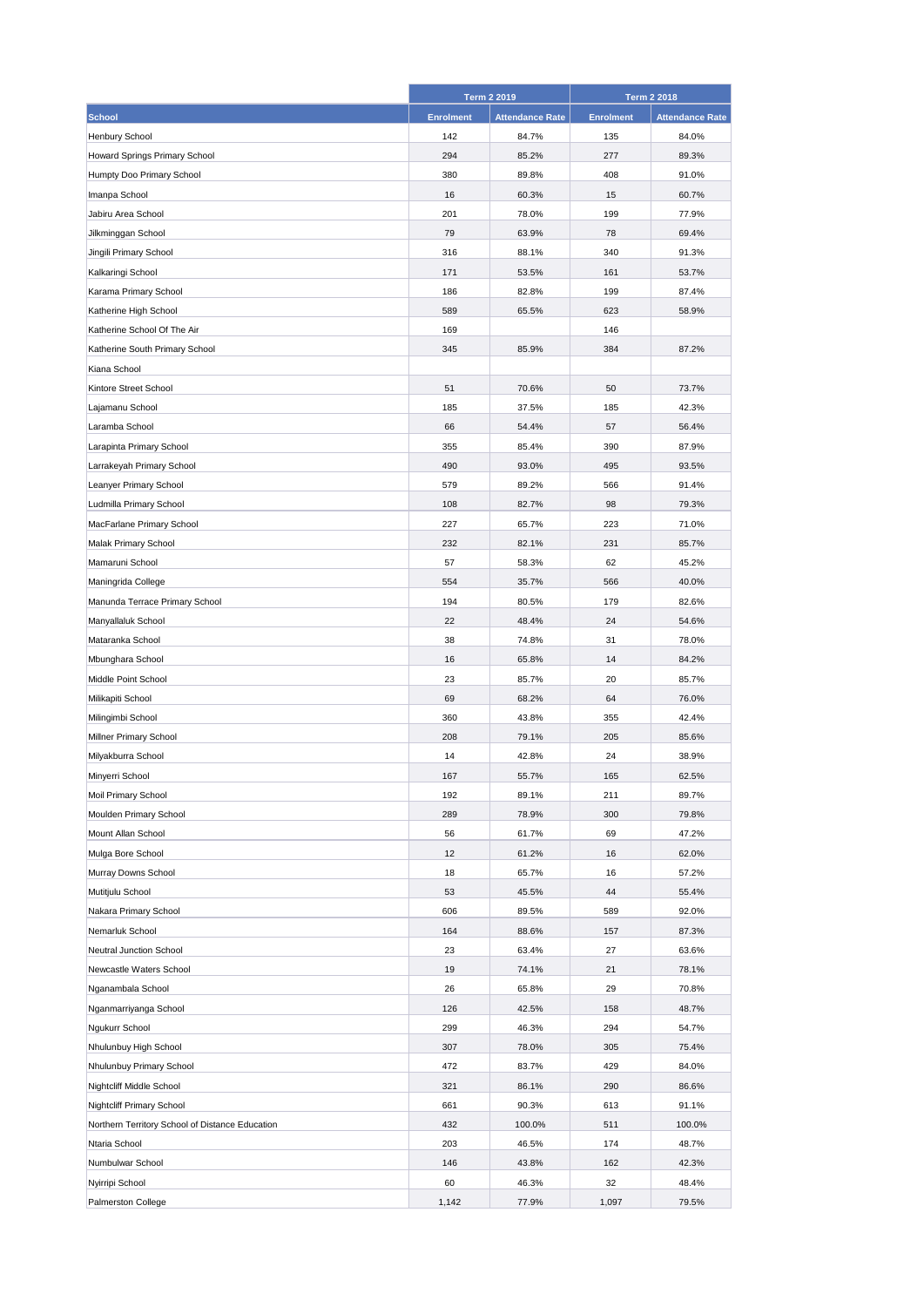|                                                 |                  | Term 2 2019            |                  | <b>Term 2 2018</b>     |
|-------------------------------------------------|------------------|------------------------|------------------|------------------------|
| <b>School</b>                                   | <b>Enrolment</b> | <b>Attendance Rate</b> | <b>Enrolment</b> | <b>Attendance Rate</b> |
| Henbury School                                  | 142              | 84.7%                  | 135              | 84.0%                  |
| Howard Springs Primary School                   | 294              | 85.2%                  | 277              | 89.3%                  |
| Humpty Doo Primary School                       | 380              | 89.8%                  | 408              | 91.0%                  |
| Imanpa School                                   | 16               | 60.3%                  | 15               | 60.7%                  |
| Jabiru Area School                              | 201              | 78.0%                  | 199              | 77.9%                  |
| Jilkminggan School                              | 79               | 63.9%                  | 78               | 69.4%                  |
| Jingili Primary School                          | 316              | 88.1%                  | 340              | 91.3%                  |
| Kalkaringi School                               | 171              | 53.5%                  | 161              | 53.7%                  |
| Karama Primary School                           | 186              | 82.8%                  | 199              | 87.4%                  |
| Katherine High School                           | 589              | 65.5%                  | 623              | 58.9%                  |
| Katherine School Of The Air                     | 169              |                        | 146              |                        |
| Katherine South Primary School                  | 345              | 85.9%                  | 384              | 87.2%                  |
| Kiana School                                    |                  |                        |                  |                        |
| Kintore Street School                           | 51               | 70.6%                  | 50               | 73.7%                  |
| Lajamanu School                                 | 185              | 37.5%                  | 185              | 42.3%                  |
| Laramba School                                  | 66               | 54.4%                  | 57               | 56.4%                  |
| Larapinta Primary School                        | 355              | 85.4%                  | 390              | 87.9%                  |
| Larrakeyah Primary School                       | 490              | 93.0%                  | 495              | 93.5%                  |
| Leanyer Primary School                          | 579              | 89.2%                  | 566              | 91.4%                  |
| Ludmilla Primary School                         | 108              | 82.7%                  | 98               | 79.3%                  |
| MacFarlane Primary School                       | 227              | 65.7%                  | 223              | 71.0%                  |
| Malak Primary School                            | 232              | 82.1%                  | 231              | 85.7%                  |
| Mamaruni School                                 | 57               | 58.3%                  | 62               | 45.2%                  |
| Maningrida College                              | 554              | 35.7%                  | 566              | 40.0%                  |
| Manunda Terrace Primary School                  | 194              | 80.5%                  | 179              | 82.6%                  |
| Manyallaluk School                              | 22               | 48.4%                  | 24               | 54.6%                  |
| Mataranka School                                | 38               | 74.8%                  | 31               | 78.0%                  |
| Mbunghara School                                | 16               | 65.8%                  | 14               | 84.2%                  |
| Middle Point School                             | 23               | 85.7%                  | 20               | 85.7%                  |
| Milikapiti School                               | 69               | 68.2%                  | 64               | 76.0%                  |
| Milingimbi School                               | 360              | 43.8%                  | 355              | 42.4%                  |
| Millner Primary School                          | 208              | 79.1%                  | 205              | 85.6%                  |
| Milyakburra School                              | 14               | 42.8%                  | 24               | 38.9%                  |
| Minyerri School                                 | 167              | 55.7%                  | 165              | 62.5%                  |
| Moil Primary School                             | 192              | 89.1%                  | 211              | 89.7%                  |
| Moulden Primary School                          | 289              | 78.9%                  | 300              | 79.8%                  |
| Mount Allan School                              | 56               | 61.7%                  | 69               | 47.2%                  |
| Mulga Bore School                               | 12               | 61.2%                  | 16               | 62.0%                  |
| Murray Downs School                             | 18               | 65.7%                  | 16               | 57.2%                  |
| Mutitjulu School                                | 53               | 45.5%                  | 44               | 55.4%                  |
| Nakara Primary School                           | 606              | 89.5%                  | 589              | 92.0%                  |
| Nemarluk School                                 | 164              | 88.6%                  | 157              | 87.3%                  |
| Neutral Junction School                         | 23               | 63.4%                  | 27               | 63.6%                  |
| Newcastle Waters School                         | 19               | 74.1%                  | 21               | 78.1%                  |
| Nganambala School                               | 26               | 65.8%                  | 29               | 70.8%                  |
| Nganmarriyanga School                           | 126              | 42.5%                  | 158              | 48.7%                  |
| Ngukurr School                                  | 299              | 46.3%                  | 294              | 54.7%                  |
| Nhulunbuy High School                           | 307              | 78.0%                  | 305              | 75.4%                  |
| Nhulunbuy Primary School                        | 472              | 83.7%                  | 429              | 84.0%                  |
| Nightcliff Middle School                        | 321              | 86.1%                  | 290              | 86.6%                  |
| Nightcliff Primary School                       | 661              | 90.3%                  | 613              | 91.1%                  |
| Northern Territory School of Distance Education | 432              | 100.0%                 | 511              | 100.0%                 |
| Ntaria School                                   | 203              | 46.5%                  | 174              | 48.7%                  |
| Numbulwar School                                | 146              | 43.8%                  | 162              | 42.3%                  |
| Nyirripi School                                 | 60               | 46.3%                  | 32               | 48.4%                  |
| Palmerston College                              | 1,142            | 77.9%                  | 1,097            | 79.5%                  |